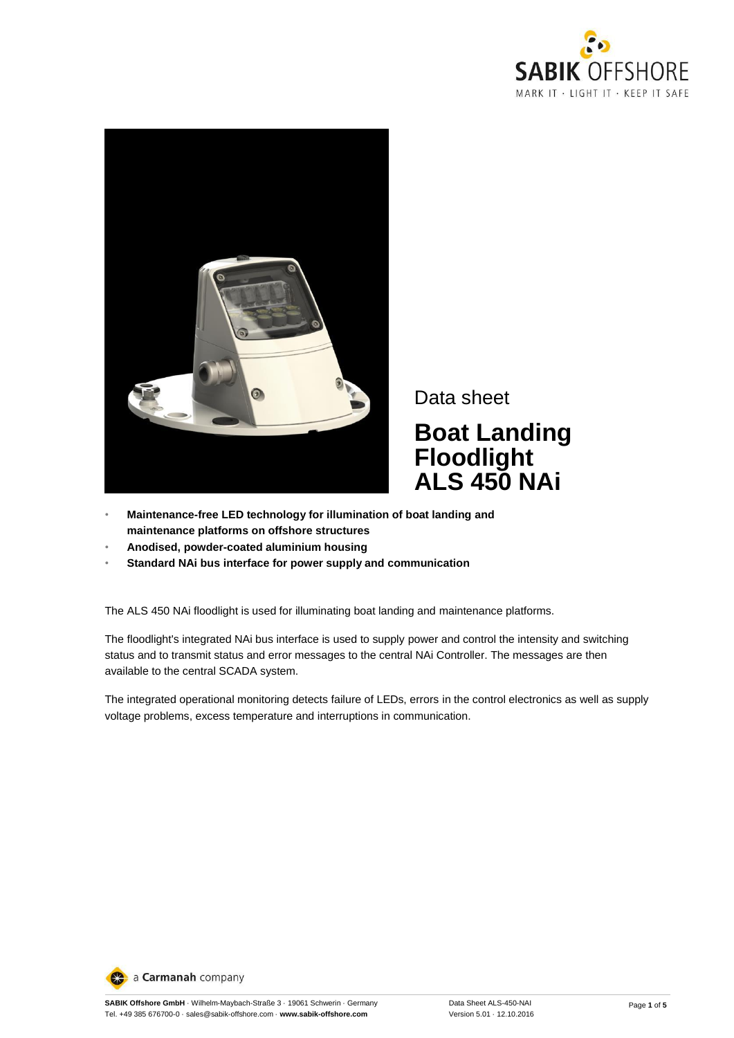



Data sheet

**Boat Landing Floodlight ALS 450 NAi**

- **Maintenance-free LED technology for illumination of boat landing and maintenance platforms on offshore structures**
- **Anodised, powder-coated aluminium housing**
- **Standard NAi bus interface for power supply and communication**

The ALS 450 NAi floodlight is used for illuminating boat landing and maintenance platforms.

The floodlight's integrated NAi bus interface is used to supply power and control the intensity and switching status and to transmit status and error messages to the central NAi Controller. The messages are then available to the central SCADA system.

The integrated operational monitoring detects failure of LEDs, errors in the control electronics as well as supply voltage problems, excess temperature and interruptions in communication.

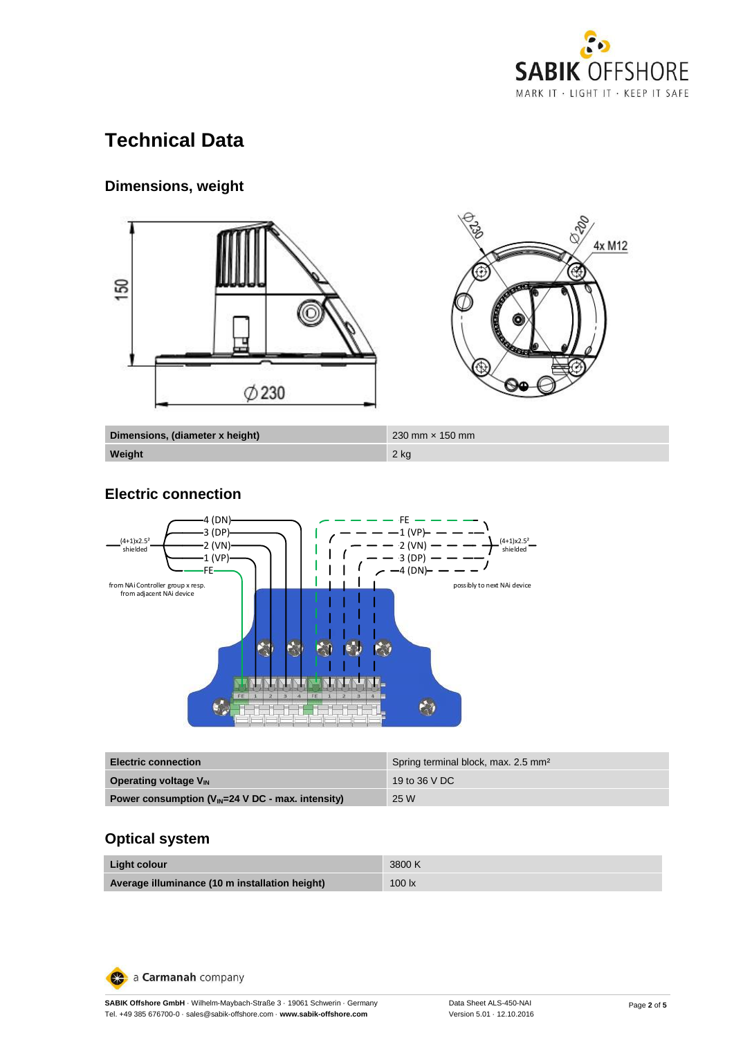

# **Technical Data**

# **Dimensions, weight**



**Weight** 2 kg

### **Electric connection**



| <b>Electric connection</b>                            | Spring terminal block, max. 2.5 mm <sup>2</sup> |
|-------------------------------------------------------|-------------------------------------------------|
| <b>Operating voltage V<sub>IN</sub></b>               | 19 to 36 V DC                                   |
| Power consumption $(V_{IN}=24$ V DC - max. intensity) | 25 W                                            |

## **Optical system**

| Light colour                                   | 3800 K |
|------------------------------------------------|--------|
| Average illuminance (10 m installation height) | 100 lx |

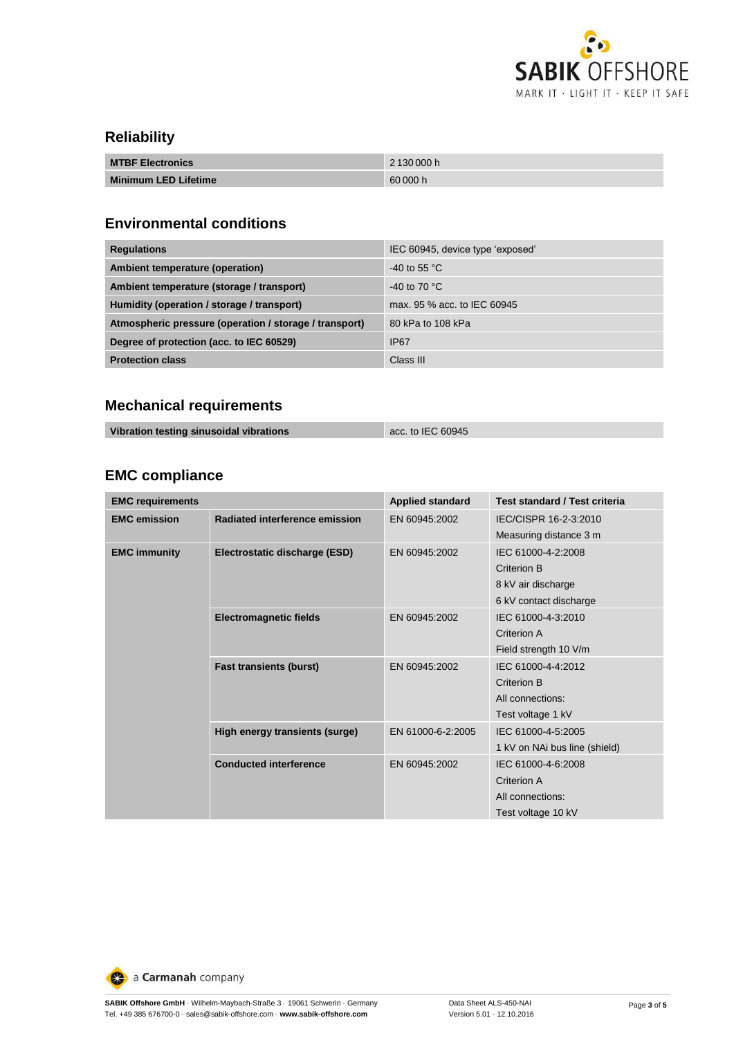

## **Reliability**

| <b>MTBF Electronics</b>     | 2130000h |
|-----------------------------|----------|
| <b>Minimum LED Lifetime</b> | 60 000 h |

## **Environmental conditions**

| <b>Regulations</b>                                     | IEC 60945, device type 'exposed' |
|--------------------------------------------------------|----------------------------------|
| Ambient temperature (operation)                        | -40 to 55 $^{\circ}$ C           |
| Ambient temperature (storage / transport)              | -40 to 70 $^{\circ}$ C           |
| Humidity (operation / storage / transport)             | max, 95 % acc. to IEC 60945      |
| Atmospheric pressure (operation / storage / transport) | 80 kPa to 108 kPa                |
| Degree of protection (acc. to IEC 60529)               | <b>IP67</b>                      |
| <b>Protection class</b>                                | Class III                        |

# **Mechanical requirements**

| Vibration testing sinusoidal vibrations | acc. to IEC 60945 |
|-----------------------------------------|-------------------|
|-----------------------------------------|-------------------|

## **EMC compliance**

| <b>EMC requirements</b>                               |                                | <b>Applied standard</b> | Test standard / Test criteria |
|-------------------------------------------------------|--------------------------------|-------------------------|-------------------------------|
| <b>EMC</b> emission<br>Radiated interference emission | EN 60945:2002                  | IEC/CISPR 16-2-3:2010   |                               |
|                                                       |                                |                         | Measuring distance 3 m        |
| <b>EMC immunity</b>                                   | Electrostatic discharge (ESD)  | EN 60945:2002           | IEC 61000-4-2:2008            |
|                                                       |                                |                         | Criterion B                   |
|                                                       |                                |                         | 8 kV air discharge            |
|                                                       |                                |                         | 6 kV contact discharge        |
|                                                       | <b>Electromagnetic fields</b>  | EN 60945:2002           | IEC 61000-4-3:2010            |
|                                                       |                                |                         | Criterion A                   |
|                                                       |                                |                         | Field strength 10 V/m         |
|                                                       | <b>Fast transients (burst)</b> | EN 60945:2002           | IEC 61000-4-4:2012            |
|                                                       |                                |                         | <b>Criterion B</b>            |
|                                                       |                                |                         | All connections:              |
|                                                       |                                |                         | Test voltage 1 kV             |
|                                                       | High energy transients (surge) | EN 61000-6-2:2005       | IEC 61000-4-5:2005            |
|                                                       |                                |                         | 1 kV on NAi bus line (shield) |
|                                                       | <b>Conducted interference</b>  | EN 60945:2002           | IEC 61000-4-6:2008            |
|                                                       |                                |                         | Criterion A                   |
|                                                       |                                |                         | All connections:              |
|                                                       |                                |                         | Test voltage 10 kV            |

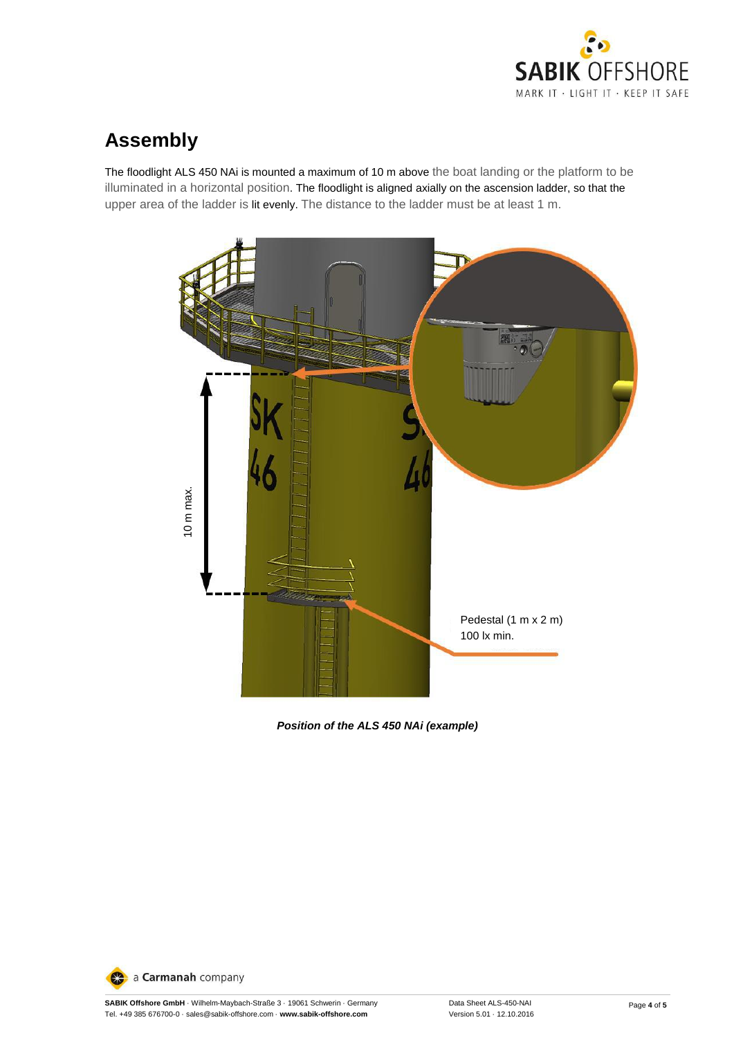

# **Assembly**

The floodlight ALS 450 NAi is mounted a maximum of 10 m above the boat landing or the platform to be illuminated in a horizontal position. The floodlight is aligned axially on the ascension ladder, so that the upper area of the ladder is lit evenly. The distance to the ladder must be at least 1 m.



*Position of the ALS 450 NAi (example)*